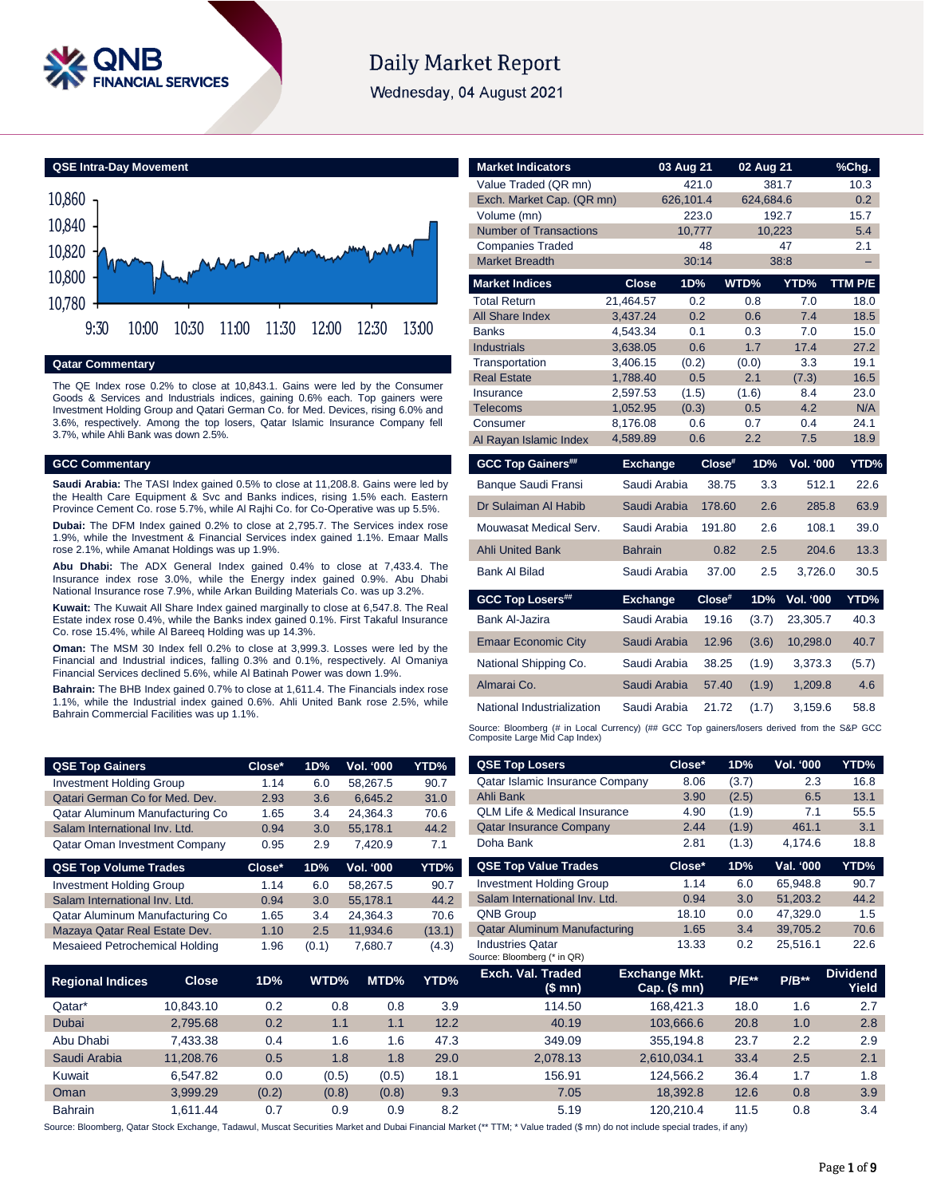

# **Daily Market Report**

Wednesday, 04 August 2021

**QSE Intra-Day Movement**



#### **Qatar Commentary**

The QE Index rose 0.2% to close at 10,843.1. Gains were led by the Consumer Goods & Services and Industrials indices, gaining 0.6% each. Top gainers were Investment Holding Group and Qatari German Co. for Med. Devices, rising 6.0% and 3.6%, respectively. Among the top losers, Qatar Islamic Insurance Company fell 3.7%, while Ahli Bank was down 2.5%.

#### **GCC Commentary**

**Saudi Arabia:** The TASI Index gained 0.5% to close at 11,208.8. Gains were led by the Health Care Equipment & Svc and Banks indices, rising 1.5% each. Eastern Province Cement Co. rose 5.7%, while Al Rajhi Co. for Co-Operative was up 5.5%.

**Dubai:** The DFM Index gained 0.2% to close at 2,795.7. The Services index rose 1.9%, while the Investment & Financial Services index gained 1.1%. Emaar Malls rose 2.1%, while Amanat Holdings was up 1.9%.

**Abu Dhabi:** The ADX General Index gained 0.4% to close at 7,433.4. The Insurance index rose 3.0%, while the Energy index gained 0.9%. Abu Dhabi National Insurance rose 7.9%, while Arkan Building Materials Co. was up 3.2%.

**Kuwait:** The Kuwait All Share Index gained marginally to close at 6,547.8. The Real Estate index rose 0.4%, while the Banks index gained 0.1%. First Takaful Insurance Co. rose 15.4%, while Al Bareeq Holding was up 14.3%.

**Oman:** The MSM 30 Index fell 0.2% to close at 3,999.3. Losses were led by the Financial and Industrial indices, falling 0.3% and 0.1%, respectively. Al Omaniya Financial Services declined 5.6%, while Al Batinah Power was down 1.9%.

**Bahrain:** The BHB Index gained 0.7% to close at 1,611.4. The Financials index rose 1.1%, while the Industrial index gained 0.6%. Ahli United Bank rose 2.5%, while Bahrain Commercial Facilities was up 1.1%.

|                           |                                                                                                          |                                                                                                                                                                                                                                         |                                                                                                                                                                 |                                                                                | %Chg.                                                                                                                                                                                 |
|---------------------------|----------------------------------------------------------------------------------------------------------|-----------------------------------------------------------------------------------------------------------------------------------------------------------------------------------------------------------------------------------------|-----------------------------------------------------------------------------------------------------------------------------------------------------------------|--------------------------------------------------------------------------------|---------------------------------------------------------------------------------------------------------------------------------------------------------------------------------------|
|                           |                                                                                                          |                                                                                                                                                                                                                                         |                                                                                                                                                                 |                                                                                | 10.3                                                                                                                                                                                  |
| Exch. Market Cap. (QR mn) |                                                                                                          |                                                                                                                                                                                                                                         |                                                                                                                                                                 |                                                                                | 0.2                                                                                                                                                                                   |
|                           |                                                                                                          |                                                                                                                                                                                                                                         |                                                                                                                                                                 |                                                                                | 15.7                                                                                                                                                                                  |
|                           |                                                                                                          |                                                                                                                                                                                                                                         |                                                                                                                                                                 |                                                                                | 5.4                                                                                                                                                                                   |
|                           |                                                                                                          |                                                                                                                                                                                                                                         |                                                                                                                                                                 |                                                                                | 2.1                                                                                                                                                                                   |
|                           |                                                                                                          |                                                                                                                                                                                                                                         |                                                                                                                                                                 |                                                                                |                                                                                                                                                                                       |
| <b>Close</b>              | 1D%                                                                                                      |                                                                                                                                                                                                                                         |                                                                                                                                                                 | YTD%                                                                           | TTM P/E                                                                                                                                                                               |
| 21,464.57                 | 0.2                                                                                                      |                                                                                                                                                                                                                                         | 0.8                                                                                                                                                             | 7.0                                                                            | 18.0                                                                                                                                                                                  |
|                           |                                                                                                          |                                                                                                                                                                                                                                         |                                                                                                                                                                 |                                                                                | 18.5                                                                                                                                                                                  |
|                           |                                                                                                          |                                                                                                                                                                                                                                         |                                                                                                                                                                 |                                                                                | 15.0                                                                                                                                                                                  |
|                           |                                                                                                          |                                                                                                                                                                                                                                         |                                                                                                                                                                 |                                                                                | 27.2                                                                                                                                                                                  |
|                           |                                                                                                          |                                                                                                                                                                                                                                         |                                                                                                                                                                 |                                                                                | 19.1                                                                                                                                                                                  |
|                           |                                                                                                          |                                                                                                                                                                                                                                         |                                                                                                                                                                 |                                                                                | 16.5                                                                                                                                                                                  |
|                           |                                                                                                          |                                                                                                                                                                                                                                         |                                                                                                                                                                 |                                                                                | 23.0<br>N/A                                                                                                                                                                           |
|                           |                                                                                                          |                                                                                                                                                                                                                                         |                                                                                                                                                                 |                                                                                | 24.1                                                                                                                                                                                  |
|                           |                                                                                                          |                                                                                                                                                                                                                                         |                                                                                                                                                                 |                                                                                | 18.9                                                                                                                                                                                  |
|                           |                                                                                                          |                                                                                                                                                                                                                                         |                                                                                                                                                                 |                                                                                |                                                                                                                                                                                       |
|                           |                                                                                                          |                                                                                                                                                                                                                                         |                                                                                                                                                                 |                                                                                | YTD%                                                                                                                                                                                  |
|                           |                                                                                                          |                                                                                                                                                                                                                                         | 3.3                                                                                                                                                             |                                                                                | 22.6                                                                                                                                                                                  |
|                           |                                                                                                          |                                                                                                                                                                                                                                         | 2.6                                                                                                                                                             |                                                                                | 63.9                                                                                                                                                                                  |
|                           |                                                                                                          |                                                                                                                                                                                                                                         | 2.6                                                                                                                                                             | 108.1                                                                          | 39.0                                                                                                                                                                                  |
| <b>Bahrain</b>            |                                                                                                          | 0.82                                                                                                                                                                                                                                    | 2.5                                                                                                                                                             |                                                                                | 13.3                                                                                                                                                                                  |
|                           |                                                                                                          |                                                                                                                                                                                                                                         | 2.5                                                                                                                                                             |                                                                                | 30.5                                                                                                                                                                                  |
|                           |                                                                                                          |                                                                                                                                                                                                                                         | 1D%                                                                                                                                                             | <b>Vol. '000</b>                                                               | YTD%                                                                                                                                                                                  |
|                           |                                                                                                          |                                                                                                                                                                                                                                         | (3.7)                                                                                                                                                           | 23,305.7                                                                       | 40.3                                                                                                                                                                                  |
|                           |                                                                                                          |                                                                                                                                                                                                                                         | (3.6)                                                                                                                                                           | 10,298.0                                                                       | 40.7                                                                                                                                                                                  |
|                           |                                                                                                          |                                                                                                                                                                                                                                         | (1.9)                                                                                                                                                           | 3,373.3                                                                        | (5.7)                                                                                                                                                                                 |
|                           |                                                                                                          |                                                                                                                                                                                                                                         | (1.9)                                                                                                                                                           | 1,209.8                                                                        | 4.6                                                                                                                                                                                   |
|                           |                                                                                                          |                                                                                                                                                                                                                                         |                                                                                                                                                                 |                                                                                |                                                                                                                                                                                       |
|                           | 3,437.24<br>4,543.34<br>3,638.05<br>3,406.15<br>1,788.40<br>2,597.53<br>1,052.95<br>8,176.08<br>4,589.89 | 0.2<br>0.1<br>0.6<br>(0.2)<br>0.5<br>(1.5)<br>(0.3)<br>0.6<br>0.6<br><b>Exchange</b><br>Saudi Arabia<br>Saudi Arabia<br>Saudi Arabia<br>Saudi Arabia<br><b>Exchange</b><br>Saudi Arabia<br>Saudi Arabia<br>Saudi Arabia<br>Saudi Arabia | 03 Aug 21<br>421.0<br>626,101.4<br>223.0<br>10,777<br>48<br>30:14<br>Close#<br>38.75<br>178.60<br>191.80<br>37.00<br>Close#<br>19.16<br>12.96<br>38.25<br>57.40 | WTD%<br>0.6<br>0.3<br>1.7<br>(0.0)<br>2.1<br>(1.6)<br>0.5<br>0.7<br>2.2<br>1D% | 02 Aug 21<br>381.7<br>624,684.6<br>192.7<br>10,223<br>47<br>38:8<br>7.4<br>7.0<br>17.4<br>3.3<br>(7.3)<br>8.4<br>4.2<br>0.4<br>7.5<br>Vol. '000<br>512.1<br>285.8<br>204.6<br>3,726.0 |

# in Local Currency) (## GCC Top gainers/losers derived from the S&P GCC Source: Bloomberg (# in Local Ormposite Large Mid Cap Index)

| <b>QSE Top Gainers</b>          |              | Close* | 1D%   | Vol. '000        | YTD%   | <b>QSE Top Losers</b>                                                                                                                                                       | Close*                                 | 1D%          | Vol. '000 | YTD%                     |
|---------------------------------|--------------|--------|-------|------------------|--------|-----------------------------------------------------------------------------------------------------------------------------------------------------------------------------|----------------------------------------|--------------|-----------|--------------------------|
| <b>Investment Holding Group</b> |              | 1.14   | 6.0   | 58,267.5         | 90.7   | Qatar Islamic Insurance Company                                                                                                                                             | 8.06                                   | (3.7)        | 2.3       | 16.8                     |
| Qatari German Co for Med. Dev.  |              | 2.93   | 3.6   | 6,645.2          | 31.0   | Ahli Bank                                                                                                                                                                   | 3.90                                   | (2.5)        | 6.5       | 13.1                     |
| Qatar Aluminum Manufacturing Co |              | 1.65   | 3.4   | 24,364.3         | 70.6   | <b>QLM Life &amp; Medical Insurance</b>                                                                                                                                     | 4.90                                   | (1.9)        | 7.1       | 55.5                     |
| Salam International Inv. Ltd.   |              | 0.94   | 3.0   | 55,178.1         | 44.2   | <b>Qatar Insurance Company</b>                                                                                                                                              | 2.44                                   | (1.9)        | 461.1     | 3.1                      |
| Qatar Oman Investment Company   |              | 0.95   | 2.9   | 7,420.9          | 7.1    | Doha Bank                                                                                                                                                                   | 2.81                                   | (1.3)        | 4,174.6   | 18.8                     |
| <b>QSE Top Volume Trades</b>    |              | Close* | 1D%   | <b>Vol. '000</b> | YTD%   | <b>QSE Top Value Trades</b>                                                                                                                                                 | Close*                                 | 1D%          | Val. '000 | YTD%                     |
| <b>Investment Holding Group</b> |              | 1.14   | 6.0   | 58,267.5         | 90.7   | <b>Investment Holding Group</b>                                                                                                                                             | 1.14                                   | 6.0          | 65,948.8  | 90.7                     |
| Salam International Inv. Ltd.   |              | 0.94   | 3.0   | 55,178.1         | 44.2   | Salam International Inv. Ltd.                                                                                                                                               | 0.94                                   | 3.0          | 51,203.2  | 44.2                     |
| Qatar Aluminum Manufacturing Co |              | 1.65   | 3.4   | 24,364.3         | 70.6   | QNB Group                                                                                                                                                                   | 18.10                                  | 0.0          | 47,329.0  | 1.5                      |
| Mazaya Qatar Real Estate Dev.   |              | 1.10   | 2.5   | 11,934.6         | (13.1) | <b>Qatar Aluminum Manufacturing</b>                                                                                                                                         | 1.65                                   | 3.4          | 39,705.2  | 70.6                     |
| Mesaieed Petrochemical Holding  |              | 1.96   | (0.1) | 7,680.7          | (4.3)  | <b>Industries Qatar</b><br>Source: Bloomberg (* in QR)                                                                                                                      | 13.33                                  | 0.2          | 25,516.1  | 22.6                     |
| <b>Regional Indices</b>         | <b>Close</b> | 1D%    | WTD%  | MTD%             | YTD%   | Exch. Val. Traded<br>(\$ mn)                                                                                                                                                | <b>Exchange Mkt.</b><br>$Cap.$ (\$ mn) | <b>P/E**</b> | $P/B**$   | <b>Dividend</b><br>Yield |
| Qatar*                          | 10,843.10    | 0.2    |       | 0.8<br>0.8       | 3.9    | 114.50                                                                                                                                                                      | 168,421.3                              | 18.0         | 1.6       | 2.7                      |
| Dubai                           | 2,795.68     | 0.2    |       | 1.1<br>1.1       | 12.2   | 40.19                                                                                                                                                                       | 103,666.6                              | 20.8         | 1.0       | 2.8                      |
| Abu Dhabi                       | 7,433.38     | 0.4    |       | 1.6<br>1.6       | 47.3   | 349.09                                                                                                                                                                      | 355.194.8                              | 23.7         | 2.2       | 2.9                      |
| Saudi Arabia                    | 11,208.76    | 0.5    |       | 1.8<br>1.8       | 29.0   | 2,078.13                                                                                                                                                                    | 2,610,034.1                            | 33.4         | 2.5       | 2.1                      |
| Kuwait                          | 6,547.82     | 0.0    | (0.5) | (0.5)            | 18.1   | 156.91                                                                                                                                                                      | 124,566.2                              | 36.4         | 1.7       | 1.8                      |
| Oman                            | 3,999.29     | (0.2)  | (0.8) | (0.8)            | 9.3    | 7.05                                                                                                                                                                        | 18,392.8                               | 12.6         | 0.8       | 3.9                      |
| <b>Bahrain</b>                  | 1.611.44     | 0.7    |       | 0.9<br>0.9       | 8.2    | 5.19                                                                                                                                                                        | 120,210.4                              | 11.5         | 0.8       | 3.4                      |
|                                 |              |        |       |                  |        | ource: Bloomberg, Qatar Stock Exchange, Tadawul, Muscat Securities Market and Dubai Financial Market (** TTM; * Value traded (\$ mn) do not include special trades, if any) |                                        |              |           |                          |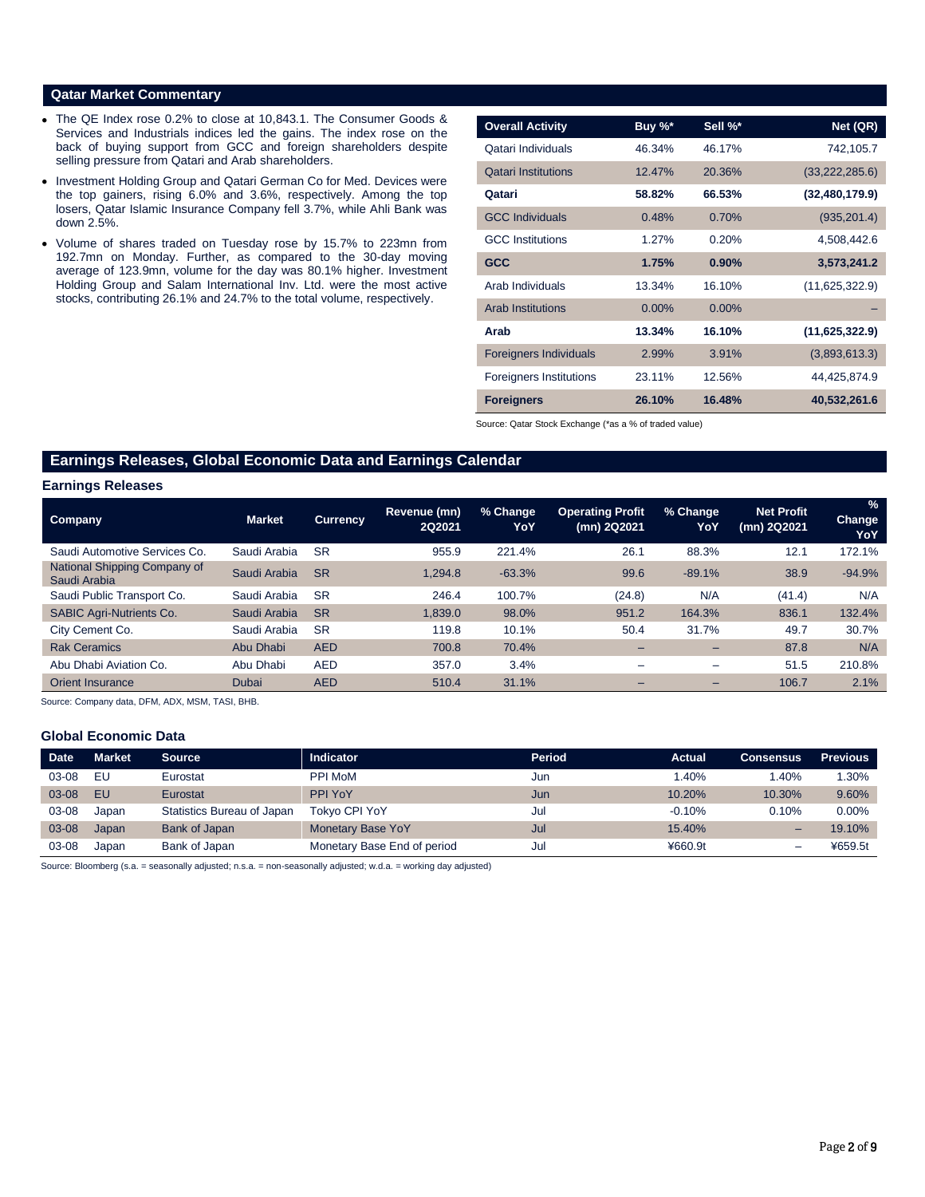# **Qatar Market Commentary**

- The QE Index rose 0.2% to close at 10,843.1. The Consumer Goods & Services and Industrials indices led the gains. The index rose on the back of buying support from GCC and foreign shareholders despite selling pressure from Qatari and Arab shareholders.
- Investment Holding Group and Qatari German Co for Med. Devices were the top gainers, rising 6.0% and 3.6%, respectively. Among the top losers, Qatar Islamic Insurance Company fell 3.7%, while Ahli Bank was down 2.5%.
- Volume of shares traded on Tuesday rose by 15.7% to 223mn from 192.7mn on Monday. Further, as compared to the 30-day moving average of 123.9mn, volume for the day was 80.1% higher. Investment Holding Group and Salam International Inv. Ltd. were the most active stocks, contributing 26.1% and 24.7% to the total volume, respectively.

| <b>Overall Activity</b>        | Buy %*   | Sell %*  | Net (QR)         |
|--------------------------------|----------|----------|------------------|
| Qatari Individuals             | 46.34%   | 46.17%   | 742,105.7        |
| <b>Qatari Institutions</b>     | 12.47%   | 20.36%   | (33, 222, 285.6) |
| Qatari                         | 58.82%   | 66.53%   | (32, 480, 179.9) |
| <b>GCC Individuals</b>         | 0.48%    | 0.70%    | (935, 201.4)     |
| <b>GCC</b> Institutions        | 1.27%    | 0.20%    | 4,508,442.6      |
| <b>GCC</b>                     | 1.75%    | 0.90%    | 3,573,241.2      |
| Arab Individuals               | 13.34%   | 16.10%   | (11,625,322.9)   |
| <b>Arab Institutions</b>       | $0.00\%$ | $0.00\%$ |                  |
| Arab                           | 13.34%   | 16.10%   | (11,625,322.9)   |
| <b>Foreigners Individuals</b>  | 2.99%    | 3.91%    | (3,893,613.3)    |
| <b>Foreigners Institutions</b> | 23.11%   | 12.56%   | 44,425,874.9     |
| <b>Foreigners</b>              | 26.10%   | 16.48%   | 40,532,261.6     |

Source: Qatar Stock Exchange (\*as a % of traded value)

# **Earnings Releases, Global Economic Data and Earnings Calendar**

#### **Earnings Releases**

| <b>Company</b>                               | <b>Market</b> | <b>Currency</b> | Revenue (mn)<br>2Q2021 | % Change<br>YoY | <b>Operating Profit</b><br>(mn) 2Q2021 | % Change<br>YoY          | <b>Net Profit</b><br>(mn) 2Q2021 | $\frac{9}{6}$<br><b>Change</b><br>YoY |
|----------------------------------------------|---------------|-----------------|------------------------|-----------------|----------------------------------------|--------------------------|----------------------------------|---------------------------------------|
| Saudi Automotive Services Co.                | Saudi Arabia  | <b>SR</b>       | 955.9                  | 221.4%          | 26.1                                   | 88.3%                    | 12.1                             | 172.1%                                |
| National Shipping Company of<br>Saudi Arabia | Saudi Arabia  | <b>SR</b>       | 1.294.8                | $-63.3%$        | 99.6                                   | $-89.1%$                 | 38.9                             | $-94.9%$                              |
| Saudi Public Transport Co.                   | Saudi Arabia  | <b>SR</b>       | 246.4                  | 100.7%          | (24.8)                                 | N/A                      | (41.4)                           | N/A                                   |
| <b>SABIC Agri-Nutrients Co.</b>              | Saudi Arabia  | <b>SR</b>       | 1.839.0                | 98.0%           | 951.2                                  | 164.3%                   | 836.1                            | 132.4%                                |
| City Cement Co.                              | Saudi Arabia  | <b>SR</b>       | 119.8                  | 10.1%           | 50.4                                   | 31.7%                    | 49.7                             | 30.7%                                 |
| <b>Rak Ceramics</b>                          | Abu Dhabi     | <b>AED</b>      | 700.8                  | 70.4%           |                                        | $\overline{\phantom{0}}$ | 87.8                             | N/A                                   |
| Abu Dhabi Aviation Co.                       | Abu Dhabi     | <b>AED</b>      | 357.0                  | 3.4%            | -                                      | $\overline{\phantom{m}}$ | 51.5                             | 210.8%                                |
| Orient Insurance                             | Dubai         | <b>AED</b>      | 510.4                  | 31.1%           | -                                      | -                        | 106.7                            | 2.1%                                  |
|                                              |               |                 |                        |                 |                                        |                          |                                  |                                       |

Source: Company data, DFM, ADX, MSM, TASI, BHB.

### **Global Economic Data**

| <b>Date</b> | <b>Market</b> | <b>Source</b>              | <b>Indicator</b>            | Period | Actual   | <b>Consensus</b> | <b>Previous</b> |
|-------------|---------------|----------------------------|-----------------------------|--------|----------|------------------|-----------------|
| 03-08       | EU            | Eurostat                   | <b>PPI MoM</b>              | Jun    | 1.40%    | 1.40%            | 1.30%           |
| 03-08       | EU            | Eurostat                   | PPI YoY                     | Jun    | 10.20%   | 10.30%           | 9.60%           |
| 03-08       | Japan         | Statistics Bureau of Japan | <b>Tokvo CPI YoY</b>        | Jul    | $-0.10%$ | 0.10%            | $0.00\%$        |
| 03-08       | Japan         | Bank of Japan              | <b>Monetary Base YoY</b>    | Jul    | 15.40%   | -                | 19.10%          |
| 03-08       | Japan         | Bank of Japan              | Monetary Base End of period | Jul    | ¥660.9t  | -                | ¥659.5t         |

Source: Bloomberg (s.a. = seasonally adjusted; n.s.a. = non-seasonally adjusted; w.d.a. = working day adjusted)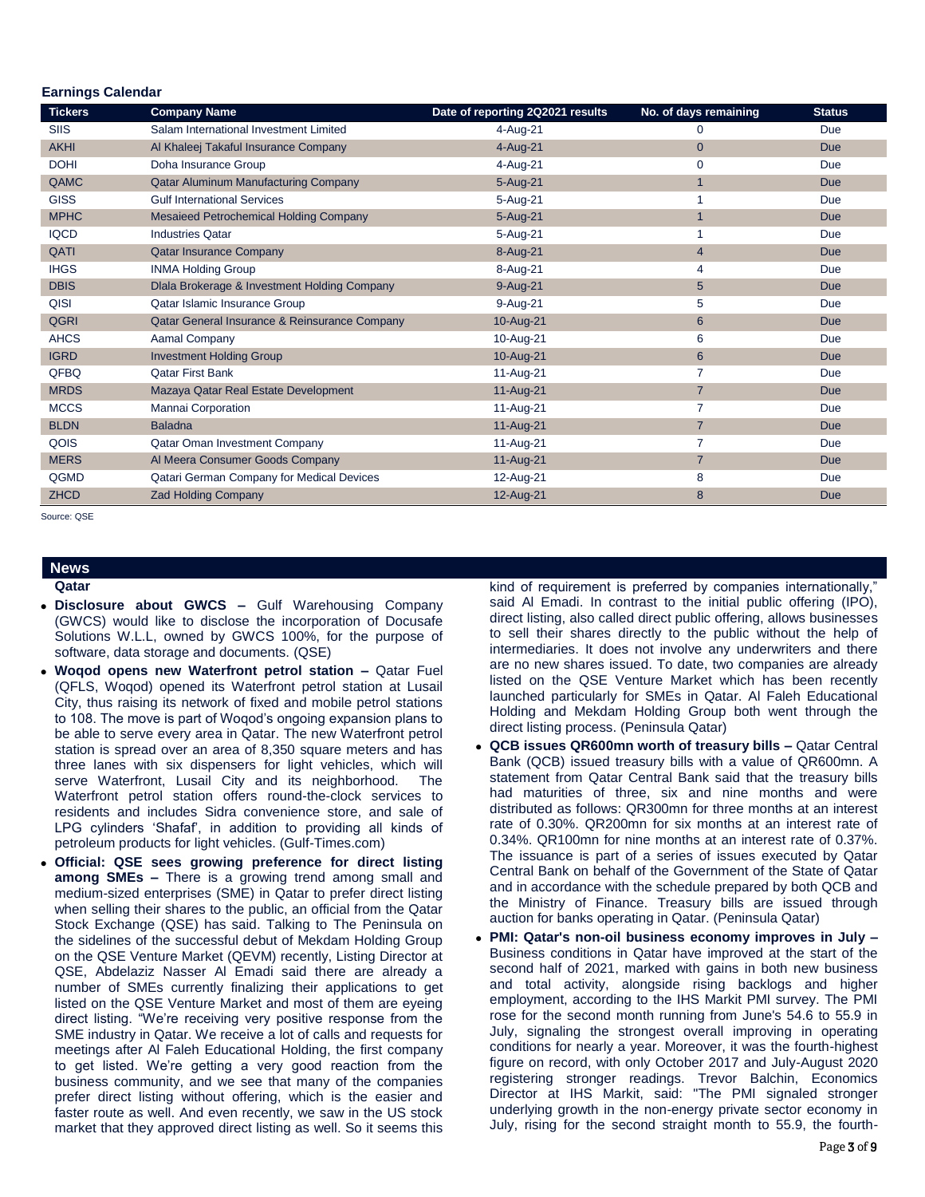| Edililiyə Galendar<br><b>Tickers</b> | <b>Company Name</b>                           | Date of reporting 2Q2021 results | No. of days remaining | <b>Status</b> |
|--------------------------------------|-----------------------------------------------|----------------------------------|-----------------------|---------------|
| SIIS                                 | Salam International Investment Limited        | 4-Aug-21                         | $\mathbf 0$           | Due           |
| <b>AKHI</b>                          | Al Khaleej Takaful Insurance Company          | 4-Aug-21                         | $\mathbf{0}$          | <b>Due</b>    |
| <b>DOHI</b>                          | Doha Insurance Group                          | 4-Aug-21                         | 0                     | Due           |
| QAMC                                 | <b>Qatar Aluminum Manufacturing Company</b>   | 5-Aug-21                         | $\mathbf{1}$          | <b>Due</b>    |
| <b>GISS</b>                          | <b>Gulf International Services</b>            | 5-Aug-21                         | 1                     | Due           |
| <b>MPHC</b>                          | Mesaieed Petrochemical Holding Company        | 5-Aug-21                         | $\overline{1}$        | <b>Due</b>    |
| <b>IQCD</b>                          | <b>Industries Qatar</b>                       | 5-Aug-21                         |                       | Due           |
| QATI                                 | <b>Qatar Insurance Company</b>                | 8-Aug-21                         | $\overline{4}$        | <b>Due</b>    |
| <b>IHGS</b>                          | <b>INMA Holding Group</b>                     | 8-Aug-21                         | 4                     | Due           |
| <b>DBIS</b>                          | Dlala Brokerage & Investment Holding Company  | 9-Aug-21                         | $\sqrt{5}$            | <b>Due</b>    |
| QISI                                 | Qatar Islamic Insurance Group                 | 9-Aug-21                         | 5                     | Due           |
| <b>QGRI</b>                          | Qatar General Insurance & Reinsurance Company | 10-Aug-21                        | 6                     | <b>Due</b>    |
| <b>AHCS</b>                          | Aamal Company                                 | 10-Aug-21                        | 6                     | Due           |
| <b>IGRD</b>                          | <b>Investment Holding Group</b>               | 10-Aug-21                        | 6                     | <b>Due</b>    |
| QFBQ                                 | <b>Qatar First Bank</b>                       | 11-Aug-21                        | $\overline{7}$        | Due           |
| <b>MRDS</b>                          | Mazaya Qatar Real Estate Development          | 11-Aug-21                        | $\overline{7}$        | <b>Due</b>    |
| <b>MCCS</b>                          | Mannai Corporation                            | 11-Aug-21                        | $\overline{7}$        | Due           |
| <b>BLDN</b>                          | <b>Baladna</b>                                | 11-Aug-21                        | $\overline{7}$        | <b>Due</b>    |
| QOIS                                 | Qatar Oman Investment Company                 | 11-Aug-21                        | 7                     | Due           |
| <b>MERS</b>                          | Al Meera Consumer Goods Company               | 11-Aug-21                        | $\overline{7}$        | <b>Due</b>    |
| QGMD                                 | Qatari German Company for Medical Devices     | 12-Aug-21                        | 8                     | Due           |
| <b>ZHCD</b>                          | <b>Zad Holding Company</b>                    | 12-Aug-21                        | 8                     | <b>Due</b>    |

Source: QSE

 **Earnings Calendar**

#### **News Qatar**

- **Disclosure about GWCS –** Gulf Warehousing Company (GWCS) would like to disclose the incorporation of Docusafe Solutions W.L.L, owned by GWCS 100%, for the purpose of software, data storage and documents. (QSE)
- **Woqod opens new Waterfront petrol station –** Qatar Fuel (QFLS, Woqod) opened its Waterfront petrol station at Lusail City, thus raising its network of fixed and mobile petrol stations to 108. The move is part of Woqod's ongoing expansion plans to be able to serve every area in Qatar. The new Waterfront petrol station is spread over an area of 8,350 square meters and has three lanes with six dispensers for light vehicles, which will serve Waterfront, Lusail City and its neighborhood. The Waterfront petrol station offers round-the-clock services to residents and includes Sidra convenience store, and sale of LPG cylinders 'Shafaf', in addition to providing all kinds of petroleum products for light vehicles. (Gulf-Times.com)
- **Official: QSE sees growing preference for direct listing among SMEs –** There is a growing trend among small and medium-sized enterprises (SME) in Qatar to prefer direct listing when selling their shares to the public, an official from the Qatar Stock Exchange (QSE) has said. Talking to The Peninsula on the sidelines of the successful debut of Mekdam Holding Group on the QSE Venture Market (QEVM) recently, Listing Director at QSE, Abdelaziz Nasser Al Emadi said there are already a number of SMEs currently finalizing their applications to get listed on the QSE Venture Market and most of them are eyeing direct listing. "We're receiving very positive response from the SME industry in Qatar. We receive a lot of calls and requests for meetings after Al Faleh Educational Holding, the first company to get listed. We're getting a very good reaction from the business community, and we see that many of the companies prefer direct listing without offering, which is the easier and faster route as well. And even recently, we saw in the US stock market that they approved direct listing as well. So it seems this

kind of requirement is preferred by companies internationally, said Al Emadi. In contrast to the initial public offering (IPO), direct listing, also called direct public offering, allows businesses to sell their shares directly to the public without the help of intermediaries. It does not involve any underwriters and there are no new shares issued. To date, two companies are already listed on the QSE Venture Market which has been recently launched particularly for SMEs in Qatar. Al Faleh Educational Holding and Mekdam Holding Group both went through the direct listing process. (Peninsula Qatar)

- **QCB issues QR600mn worth of treasury bills –** Qatar Central Bank (QCB) issued treasury bills with a value of QR600mn. A statement from Qatar Central Bank said that the treasury bills had maturities of three, six and nine months and were distributed as follows: QR300mn for three months at an interest rate of 0.30%. QR200mn for six months at an interest rate of 0.34%. QR100mn for nine months at an interest rate of 0.37%. The issuance is part of a series of issues executed by Qatar Central Bank on behalf of the Government of the State of Qatar and in accordance with the schedule prepared by both QCB and the Ministry of Finance. Treasury bills are issued through auction for banks operating in Qatar. (Peninsula Qatar)
- **PMI: Qatar's non-oil business economy improves in July –** Business conditions in Qatar have improved at the start of the second half of 2021, marked with gains in both new business and total activity, alongside rising backlogs and higher employment, according to the IHS Markit PMI survey. The PMI rose for the second month running from June's 54.6 to 55.9 in July, signaling the strongest overall improving in operating conditions for nearly a year. Moreover, it was the fourth-highest figure on record, with only October 2017 and July-August 2020 registering stronger readings. Trevor Balchin, Economics Director at IHS Markit, said: "The PMI signaled stronger underlying growth in the non-energy private sector economy in July, rising for the second straight month to 55.9, the fourth-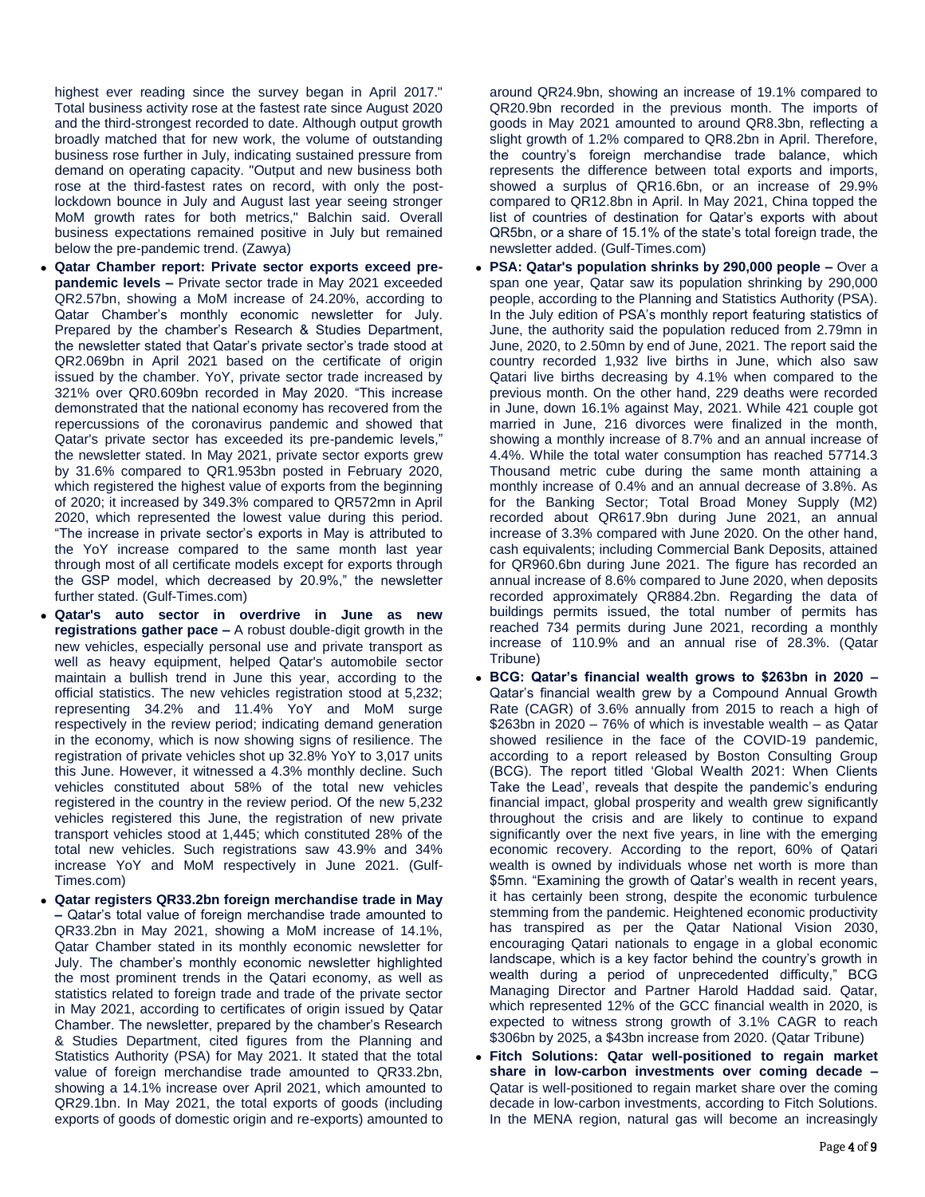highest ever reading since the survey began in April 2017." Total business activity rose at the fastest rate since August 2020 and the third-strongest recorded to date. Although output growth broadly matched that for new work, the volume of outstanding business rose further in July, indicating sustained pressure from demand on operating capacity. "Output and new business both rose at the third-fastest rates on record, with only the postlockdown bounce in July and August last year seeing stronger MoM growth rates for both metrics," Balchin said. Overall business expectations remained positive in July but remained below the pre-pandemic trend. (Zawya)

- **Qatar Chamber report: Private sector exports exceed prepandemic levels –** Private sector trade in May 2021 exceeded QR2.57bn, showing a MoM increase of 24.20%, according to Qatar Chamber's monthly economic newsletter for July. Prepared by the chamber's Research & Studies Department, the newsletter stated that Qatar's private sector's trade stood at QR2.069bn in April 2021 based on the certificate of origin issued by the chamber. YoY, private sector trade increased by 321% over QR0.609bn recorded in May 2020. "This increase demonstrated that the national economy has recovered from the repercussions of the coronavirus pandemic and showed that Qatar's private sector has exceeded its pre-pandemic levels," the newsletter stated. In May 2021, private sector exports grew by 31.6% compared to QR1.953bn posted in February 2020, which registered the highest value of exports from the beginning of 2020; it increased by 349.3% compared to QR572mn in April 2020, which represented the lowest value during this period. "The increase in private sector's exports in May is attributed to the YoY increase compared to the same month last year through most of all certificate models except for exports through the GSP model, which decreased by 20.9%," the newsletter further stated. (Gulf-Times.com)
- **Qatar's auto sector in overdrive in June as new registrations gather pace –** A robust double-digit growth in the new vehicles, especially personal use and private transport as well as heavy equipment, helped Qatar's automobile sector maintain a bullish trend in June this year, according to the official statistics. The new vehicles registration stood at 5,232; representing 34.2% and 11.4% YoY and MoM surge respectively in the review period; indicating demand generation in the economy, which is now showing signs of resilience. The registration of private vehicles shot up 32.8% YoY to 3,017 units this June. However, it witnessed a 4.3% monthly decline. Such vehicles constituted about 58% of the total new vehicles registered in the country in the review period. Of the new 5,232 vehicles registered this June, the registration of new private transport vehicles stood at 1,445; which constituted 28% of the total new vehicles. Such registrations saw 43.9% and 34% increase YoY and MoM respectively in June 2021. (Gulf-Times.com)
- **Qatar registers QR33.2bn foreign merchandise trade in May –** Qatar's total value of foreign merchandise trade amounted to QR33.2bn in May 2021, showing a MoM increase of 14.1%, Qatar Chamber stated in its monthly economic newsletter for July. The chamber's monthly economic newsletter highlighted the most prominent trends in the Qatari economy, as well as statistics related to foreign trade and trade of the private sector in May 2021, according to certificates of origin issued by Qatar Chamber. The newsletter, prepared by the chamber's Research & Studies Department, cited figures from the Planning and Statistics Authority (PSA) for May 2021. It stated that the total value of foreign merchandise trade amounted to QR33.2bn, showing a 14.1% increase over April 2021, which amounted to QR29.1bn. In May 2021, the total exports of goods (including exports of goods of domestic origin and re-exports) amounted to

around QR24.9bn, showing an increase of 19.1% compared to QR20.9bn recorded in the previous month. The imports of goods in May 2021 amounted to around QR8.3bn, reflecting a slight growth of 1.2% compared to QR8.2bn in April. Therefore, the country's foreign merchandise trade balance, which represents the difference between total exports and imports, showed a surplus of QR16.6bn, or an increase of 29.9% compared to QR12.8bn in April. In May 2021, China topped the list of countries of destination for Qatar's exports with about QR5bn, or a share of 15.1% of the state's total foreign trade, the newsletter added. (Gulf-Times.com)

- **PSA: Qatar's population shrinks by 290,000 people –** Over a span one year, Qatar saw its population shrinking by 290,000 people, according to the Planning and Statistics Authority (PSA). In the July edition of PSA's monthly report featuring statistics of June, the authority said the population reduced from 2.79mn in June, 2020, to 2.50mn by end of June, 2021. The report said the country recorded 1,932 live births in June, which also saw Qatari live births decreasing by 4.1% when compared to the previous month. On the other hand, 229 deaths were recorded in June, down 16.1% against May, 2021. While 421 couple got married in June, 216 divorces were finalized in the month, showing a monthly increase of 8.7% and an annual increase of 4.4%. While the total water consumption has reached 57714.3 Thousand metric cube during the same month attaining a monthly increase of 0.4% and an annual decrease of 3.8%. As for the Banking Sector; Total Broad Money Supply (M2) recorded about QR617.9bn during June 2021, an annual increase of 3.3% compared with June 2020. On the other hand, cash equivalents; including Commercial Bank Deposits, attained for QR960.6bn during June 2021. The figure has recorded an annual increase of 8.6% compared to June 2020, when deposits recorded approximately QR884.2bn. Regarding the data of buildings permits issued, the total number of permits has reached 734 permits during June 2021, recording a monthly increase of 110.9% and an annual rise of 28.3%. (Qatar Tribune)
- **BCG: Qatar's financial wealth grows to \$263bn in 2020 –** Qatar's financial wealth grew by a Compound Annual Growth Rate (CAGR) of 3.6% annually from 2015 to reach a high of \$263bn in 2020 – 76% of which is investable wealth – as Qatar showed resilience in the face of the COVID-19 pandemic, according to a report released by Boston Consulting Group (BCG). The report titled 'Global Wealth 2021: When Clients Take the Lead', reveals that despite the pandemic's enduring financial impact, global prosperity and wealth grew significantly throughout the crisis and are likely to continue to expand significantly over the next five years, in line with the emerging economic recovery. According to the report, 60% of Qatari wealth is owned by individuals whose net worth is more than \$5mn. "Examining the growth of Qatar's wealth in recent years, it has certainly been strong, despite the economic turbulence stemming from the pandemic. Heightened economic productivity has transpired as per the Qatar National Vision 2030, encouraging Qatari nationals to engage in a global economic landscape, which is a key factor behind the country's growth in wealth during a period of unprecedented difficulty," BCG Managing Director and Partner Harold Haddad said. Qatar, which represented 12% of the GCC financial wealth in 2020, is expected to witness strong growth of 3.1% CAGR to reach \$306bn by 2025, a \$43bn increase from 2020. (Qatar Tribune)
- **Fitch Solutions: Qatar well-positioned to regain market share in low-carbon investments over coming decade –** Qatar is well-positioned to regain market share over the coming decade in low-carbon investments, according to Fitch Solutions. In the MENA region, natural gas will become an increasingly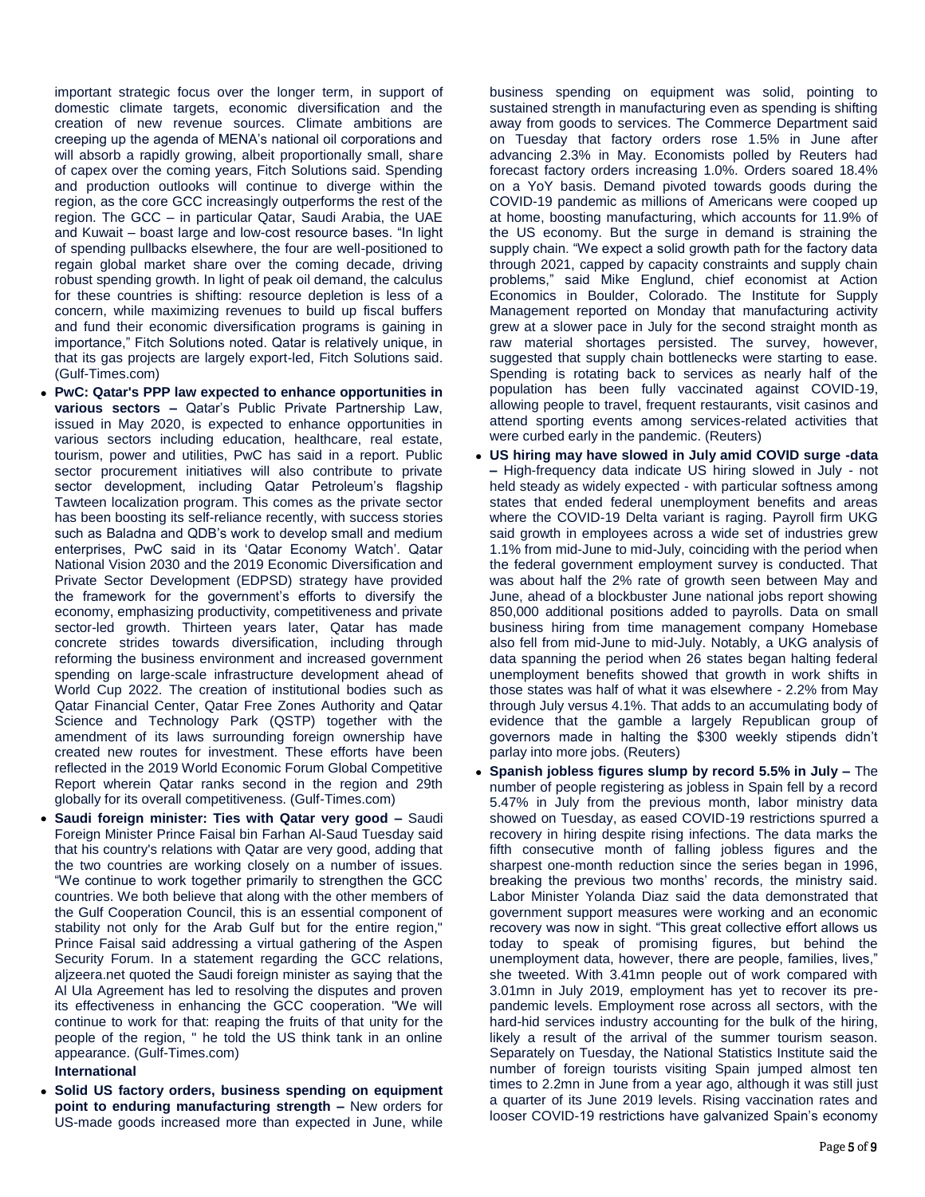important strategic focus over the longer term, in support of domestic climate targets, economic diversification and the creation of new revenue sources. Climate ambitions are creeping up the agenda of MENA's national oil corporations and will absorb a rapidly growing, albeit proportionally small, share of capex over the coming years, Fitch Solutions said. Spending and production outlooks will continue to diverge within the region, as the core GCC increasingly outperforms the rest of the region. The GCC – in particular Qatar, Saudi Arabia, the UAE and Kuwait – boast large and low-cost resource bases. "In light of spending pullbacks elsewhere, the four are well-positioned to regain global market share over the coming decade, driving robust spending growth. In light of peak oil demand, the calculus for these countries is shifting: resource depletion is less of a concern, while maximizing revenues to build up fiscal buffers and fund their economic diversification programs is gaining in importance," Fitch Solutions noted. Qatar is relatively unique, in that its gas projects are largely export-led, Fitch Solutions said. (Gulf-Times.com)

- **PwC: Qatar's PPP law expected to enhance opportunities in various sectors –** Qatar's Public Private Partnership Law, issued in May 2020, is expected to enhance opportunities in various sectors including education, healthcare, real estate, tourism, power and utilities, PwC has said in a report. Public sector procurement initiatives will also contribute to private sector development, including Qatar Petroleum's flagship Tawteen localization program. This comes as the private sector has been boosting its self-reliance recently, with success stories such as Baladna and QDB's work to develop small and medium enterprises, PwC said in its 'Qatar Economy Watch'. Qatar National Vision 2030 and the 2019 Economic Diversification and Private Sector Development (EDPSD) strategy have provided the framework for the government's efforts to diversify the economy, emphasizing productivity, competitiveness and private sector-led growth. Thirteen years later, Qatar has made concrete strides towards diversification, including through reforming the business environment and increased government spending on large-scale infrastructure development ahead of World Cup 2022. The creation of institutional bodies such as Qatar Financial Center, Qatar Free Zones Authority and Qatar Science and Technology Park (QSTP) together with the amendment of its laws surrounding foreign ownership have created new routes for investment. These efforts have been reflected in the 2019 World Economic Forum Global Competitive Report wherein Qatar ranks second in the region and 29th globally for its overall competitiveness. (Gulf-Times.com)
- **Saudi foreign minister: Ties with Qatar very good –** Saudi Foreign Minister Prince Faisal bin Farhan Al-Saud Tuesday said that his country's relations with Qatar are very good, adding that the two countries are working closely on a number of issues. "We continue to work together primarily to strengthen the GCC countries. We both believe that along with the other members of the Gulf Cooperation Council, this is an essential component of stability not only for the Arab Gulf but for the entire region," Prince Faisal said addressing a virtual gathering of the Aspen Security Forum. In a statement regarding the GCC relations, aljzeera.net quoted the Saudi foreign minister as saying that the Al Ula Agreement has led to resolving the disputes and proven its effectiveness in enhancing the GCC cooperation. "We will continue to work for that: reaping the fruits of that unity for the people of the region, " he told the US think tank in an online appearance. (Gulf-Times.com)

### **International**

 **Solid US factory orders, business spending on equipment point to enduring manufacturing strength –** New orders for US-made goods increased more than expected in June, while

business spending on equipment was solid, pointing to sustained strength in manufacturing even as spending is shifting away from goods to services. The Commerce Department said on Tuesday that factory orders rose 1.5% in June after advancing 2.3% in May. Economists polled by Reuters had forecast factory orders increasing 1.0%. Orders soared 18.4% on a YoY basis. Demand pivoted towards goods during the COVID-19 pandemic as millions of Americans were cooped up at home, boosting manufacturing, which accounts for 11.9% of the US economy. But the surge in demand is straining the supply chain. "We expect a solid growth path for the factory data through 2021, capped by capacity constraints and supply chain problems," said Mike Englund, chief economist at Action Economics in Boulder, Colorado. The Institute for Supply Management reported on Monday that manufacturing activity grew at a slower pace in July for the second straight month as raw material shortages persisted. The survey, however, suggested that supply chain bottlenecks were starting to ease. Spending is rotating back to services as nearly half of the population has been fully vaccinated against COVID-19, allowing people to travel, frequent restaurants, visit casinos and attend sporting events among services-related activities that were curbed early in the pandemic. (Reuters)

- **US hiring may have slowed in July amid COVID surge -data –** High-frequency data indicate US hiring slowed in July - not held steady as widely expected - with particular softness among states that ended federal unemployment benefits and areas where the COVID-19 Delta variant is raging. Payroll firm UKG said growth in employees across a wide set of industries grew 1.1% from mid-June to mid-July, coinciding with the period when the federal government employment survey is conducted. That was about half the 2% rate of growth seen between May and June, ahead of a blockbuster June national jobs report showing 850,000 additional positions added to payrolls. Data on small business hiring from time management company Homebase also fell from mid-June to mid-July. Notably, a UKG analysis of data spanning the period when 26 states began halting federal unemployment benefits showed that growth in work shifts in those states was half of what it was elsewhere - 2.2% from May through July versus 4.1%. That adds to an accumulating body of evidence that the gamble a largely Republican group of governors made in halting the \$300 weekly stipends didn't parlay into more jobs. (Reuters)
- **Spanish jobless figures slump by record 5.5% in July –** The number of people registering as jobless in Spain fell by a record 5.47% in July from the previous month, labor ministry data showed on Tuesday, as eased COVID-19 restrictions spurred a recovery in hiring despite rising infections. The data marks the fifth consecutive month of falling jobless figures and the sharpest one-month reduction since the series began in 1996, breaking the previous two months' records, the ministry said. Labor Minister Yolanda Diaz said the data demonstrated that government support measures were working and an economic recovery was now in sight. "This great collective effort allows us today to speak of promising figures, but behind the unemployment data, however, there are people, families, lives," she tweeted. With 3.41mn people out of work compared with 3.01mn in July 2019, employment has yet to recover its prepandemic levels. Employment rose across all sectors, with the hard-hid services industry accounting for the bulk of the hiring, likely a result of the arrival of the summer tourism season. Separately on Tuesday, the National Statistics Institute said the number of foreign tourists visiting Spain jumped almost ten times to 2.2mn in June from a year ago, although it was still just a quarter of its June 2019 levels. Rising vaccination rates and looser COVID-19 restrictions have galvanized Spain's economy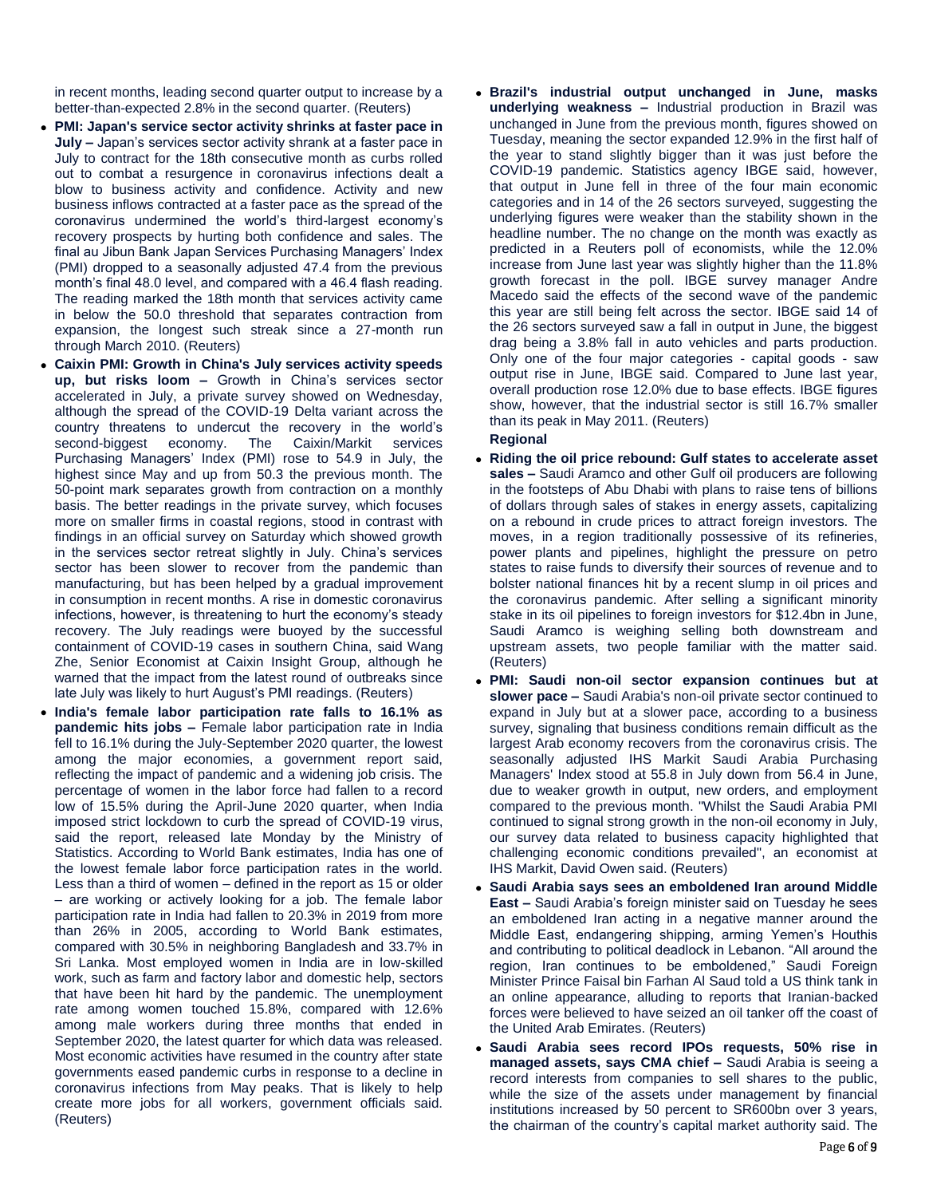in recent months, leading second quarter output to increase by a better-than-expected 2.8% in the second quarter. (Reuters)

- **PMI: Japan's service sector activity shrinks at faster pace in July –** Japan's services sector activity shrank at a faster pace in July to contract for the 18th consecutive month as curbs rolled out to combat a resurgence in coronavirus infections dealt a blow to business activity and confidence. Activity and new business inflows contracted at a faster pace as the spread of the coronavirus undermined the world's third-largest economy's recovery prospects by hurting both confidence and sales. The final au Jibun Bank Japan Services Purchasing Managers' Index (PMI) dropped to a seasonally adjusted 47.4 from the previous month's final 48.0 level, and compared with a 46.4 flash reading. The reading marked the 18th month that services activity came in below the 50.0 threshold that separates contraction from expansion, the longest such streak since a 27-month run through March 2010. (Reuters)
- **Caixin PMI: Growth in China's July services activity speeds up, but risks loom –** Growth in China's services sector accelerated in July, a private survey showed on Wednesday, although the spread of the COVID-19 Delta variant across the country threatens to undercut the recovery in the world's second-biggest economy. The Caixin/Markit services Purchasing Managers' Index (PMI) rose to 54.9 in July, the highest since May and up from 50.3 the previous month. The 50-point mark separates growth from contraction on a monthly basis. The better readings in the private survey, which focuses more on smaller firms in coastal regions, stood in contrast with findings in an official survey on Saturday which showed growth in the services sector retreat slightly in July. China's services sector has been slower to recover from the pandemic than manufacturing, but has been helped by a gradual improvement in consumption in recent months. A rise in domestic coronavirus infections, however, is threatening to hurt the economy's steady recovery. The July readings were buoyed by the successful containment of COVID-19 cases in southern China, said Wang Zhe, Senior Economist at Caixin Insight Group, although he warned that the impact from the latest round of outbreaks since late July was likely to hurt August's PMI readings. (Reuters)
- **India's female labor participation rate falls to 16.1% as pandemic hits jobs –** Female labor participation rate in India fell to 16.1% during the July-September 2020 quarter, the lowest among the major economies, a government report said, reflecting the impact of pandemic and a widening job crisis. The percentage of women in the labor force had fallen to a record low of 15.5% during the April-June 2020 quarter, when India imposed strict lockdown to curb the spread of COVID-19 virus, said the report, released late Monday by the Ministry of Statistics. According to World Bank estimates, India has one of the lowest female labor force participation rates in the world. Less than a third of women – defined in the report as 15 or older – are working or actively looking for a job. The female labor participation rate in India had fallen to 20.3% in 2019 from more than 26% in 2005, according to World Bank estimates, compared with 30.5% in neighboring Bangladesh and 33.7% in Sri Lanka. Most employed women in India are in low-skilled work, such as farm and factory labor and domestic help, sectors that have been hit hard by the pandemic. The unemployment rate among women touched 15.8%, compared with 12.6% among male workers during three months that ended in September 2020, the latest quarter for which data was released. Most economic activities have resumed in the country after state governments eased pandemic curbs in response to a decline in coronavirus infections from May peaks. That is likely to help create more jobs for all workers, government officials said. (Reuters)

 **Brazil's industrial output unchanged in June, masks underlying weakness –** Industrial production in Brazil was unchanged in June from the previous month, figures showed on Tuesday, meaning the sector expanded 12.9% in the first half of the year to stand slightly bigger than it was just before the COVID-19 pandemic. Statistics agency IBGE said, however, that output in June fell in three of the four main economic categories and in 14 of the 26 sectors surveyed, suggesting the underlying figures were weaker than the stability shown in the headline number. The no change on the month was exactly as predicted in a Reuters poll of economists, while the 12.0% increase from June last year was slightly higher than the 11.8% growth forecast in the poll. IBGE survey manager Andre Macedo said the effects of the second wave of the pandemic this year are still being felt across the sector. IBGE said 14 of the 26 sectors surveyed saw a fall in output in June, the biggest drag being a 3.8% fall in auto vehicles and parts production. Only one of the four major categories - capital goods - saw output rise in June, IBGE said. Compared to June last year, overall production rose 12.0% due to base effects. IBGE figures show, however, that the industrial sector is still 16.7% smaller than its peak in May 2011. (Reuters)

### **Regional**

- **Riding the oil price rebound: Gulf states to accelerate asset sales –** Saudi Aramco and other Gulf oil producers are following in the footsteps of Abu Dhabi with plans to raise tens of billions of dollars through sales of stakes in energy assets, capitalizing on a rebound in crude prices to attract foreign investors. The moves, in a region traditionally possessive of its refineries, power plants and pipelines, highlight the pressure on petro states to raise funds to diversify their sources of revenue and to bolster national finances hit by a recent slump in oil prices and the coronavirus pandemic. After selling a significant minority stake in its oil pipelines to foreign investors for \$12.4bn in June, Saudi Aramco is weighing selling both downstream and upstream assets, two people familiar with the matter said. (Reuters)
- **PMI: Saudi non-oil sector expansion continues but at slower pace –** Saudi Arabia's non-oil private sector continued to expand in July but at a slower pace, according to a business survey, signaling that business conditions remain difficult as the largest Arab economy recovers from the coronavirus crisis. The seasonally adjusted IHS Markit Saudi Arabia Purchasing Managers' Index stood at 55.8 in July down from 56.4 in June, due to weaker growth in output, new orders, and employment compared to the previous month. "Whilst the Saudi Arabia PMI continued to signal strong growth in the non-oil economy in July, our survey data related to business capacity highlighted that challenging economic conditions prevailed", an economist at IHS Markit, David Owen said. (Reuters)
- **Saudi Arabia says sees an emboldened Iran around Middle East –** Saudi Arabia's foreign minister said on Tuesday he sees an emboldened Iran acting in a negative manner around the Middle East, endangering shipping, arming Yemen's Houthis and contributing to political deadlock in Lebanon. "All around the region, Iran continues to be emboldened," Saudi Foreign Minister Prince Faisal bin Farhan Al Saud told a US think tank in an online appearance, alluding to reports that Iranian-backed forces were believed to have seized an oil tanker off the coast of the United Arab Emirates. (Reuters)
- **Saudi Arabia sees record IPOs requests, 50% rise in managed assets, says CMA chief –** Saudi Arabia is seeing a record interests from companies to sell shares to the public, while the size of the assets under management by financial institutions increased by 50 percent to SR600bn over 3 years, the chairman of the country's capital market authority said. The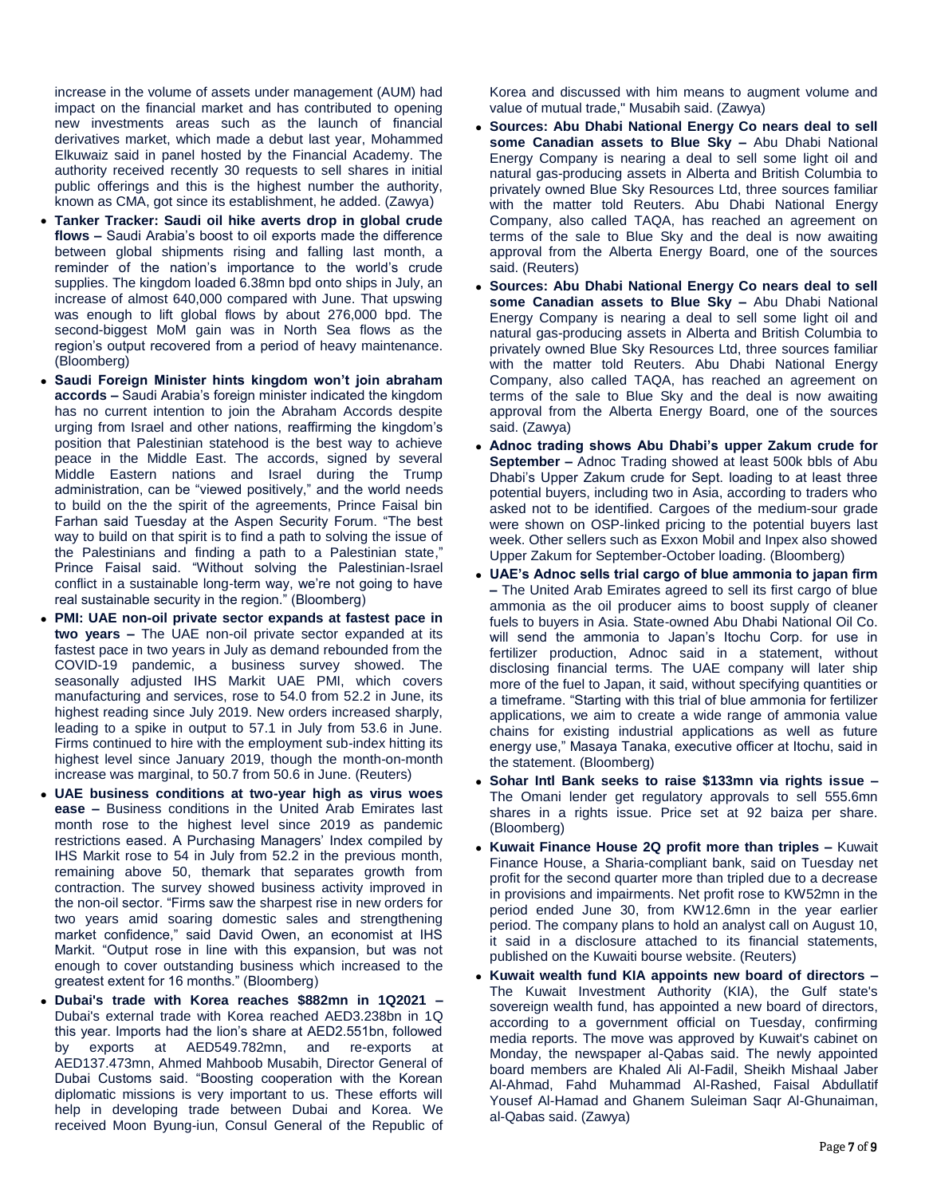increase in the volume of assets under management (AUM) had impact on the financial market and has contributed to opening new investments areas such as the launch of financial derivatives market, which made a debut last year, Mohammed Elkuwaiz said in panel hosted by the Financial Academy. The authority received recently 30 requests to sell shares in initial public offerings and this is the highest number the authority, known as CMA, got since its establishment, he added. (Zawya)

- **Tanker Tracker: Saudi oil hike averts drop in global crude flows –** Saudi Arabia's boost to oil exports made the difference between global shipments rising and falling last month, a reminder of the nation's importance to the world's crude supplies. The kingdom loaded 6.38mn bpd onto ships in July, an increase of almost 640,000 compared with June. That upswing was enough to lift global flows by about 276,000 bpd. The second-biggest MoM gain was in North Sea flows as the region's output recovered from a period of heavy maintenance. (Bloomberg)
- **Saudi Foreign Minister hints kingdom won't join abraham accords –** Saudi Arabia's foreign minister indicated the kingdom has no current intention to join the Abraham Accords despite urging from Israel and other nations, reaffirming the kingdom's position that Palestinian statehood is the best way to achieve peace in the Middle East. The accords, signed by several Middle Eastern nations and Israel during the Trump administration, can be "viewed positively," and the world needs to build on the the spirit of the agreements, Prince Faisal bin Farhan said Tuesday at the Aspen Security Forum. "The best way to build on that spirit is to find a path to solving the issue of the Palestinians and finding a path to a Palestinian state," Prince Faisal said. "Without solving the Palestinian-Israel conflict in a sustainable long-term way, we're not going to have real sustainable security in the region." (Bloomberg)
- **PMI: UAE non-oil private sector expands at fastest pace in two years –** The UAE non-oil private sector expanded at its fastest pace in two years in July as demand rebounded from the COVID-19 pandemic, a business survey showed. The seasonally adjusted IHS Markit UAE PMI, which covers manufacturing and services, rose to 54.0 from 52.2 in June, its highest reading since July 2019. New orders increased sharply, leading to a spike in output to 57.1 in July from 53.6 in June. Firms continued to hire with the employment sub-index hitting its highest level since January 2019, though the month-on-month increase was marginal, to 50.7 from 50.6 in June. (Reuters)
- **UAE business conditions at two-year high as virus woes ease –** Business conditions in the United Arab Emirates last month rose to the highest level since 2019 as pandemic restrictions eased. A Purchasing Managers' Index compiled by IHS Markit rose to 54 in July from 52.2 in the previous month, remaining above 50, themark that separates growth from contraction. The survey showed business activity improved in the non-oil sector. "Firms saw the sharpest rise in new orders for two years amid soaring domestic sales and strengthening market confidence," said David Owen, an economist at IHS Markit. "Output rose in line with this expansion, but was not enough to cover outstanding business which increased to the greatest extent for 16 months." (Bloomberg)
- **Dubai's trade with Korea reaches \$882mn in 1Q2021 –** Dubai's external trade with Korea reached AED3.238bn in 1Q this year. Imports had the lion's share at AED2.551bn, followed by exports at AED549.782mn, and re-exports at AED137.473mn, Ahmed Mahboob Musabih, Director General of Dubai Customs said. "Boosting cooperation with the Korean diplomatic missions is very important to us. These efforts will help in developing trade between Dubai and Korea. We received Moon Byung-iun, Consul General of the Republic of

Korea and discussed with him means to augment volume and value of mutual trade," Musabih said. (Zawya)

- **Sources: Abu Dhabi National Energy Co nears deal to sell some Canadian assets to Blue Sky –** Abu Dhabi National Energy Company is nearing a deal to sell some light oil and natural gas-producing assets in Alberta and British Columbia to privately owned Blue Sky Resources Ltd, three sources familiar with the matter told Reuters. Abu Dhabi National Energy Company, also called TAQA, has reached an agreement on terms of the sale to Blue Sky and the deal is now awaiting approval from the Alberta Energy Board, one of the sources said. (Reuters)
- **Sources: Abu Dhabi National Energy Co nears deal to sell some Canadian assets to Blue Sky –** Abu Dhabi National Energy Company is nearing a deal to sell some light oil and natural gas-producing assets in Alberta and British Columbia to privately owned Blue Sky Resources Ltd, three sources familiar with the matter told Reuters. Abu Dhabi National Energy Company, also called TAQA, has reached an agreement on terms of the sale to Blue Sky and the deal is now awaiting approval from the Alberta Energy Board, one of the sources said. (Zawya)
- **Adnoc trading shows Abu Dhabi's upper Zakum crude for September –** Adnoc Trading showed at least 500k bbls of Abu Dhabi's Upper Zakum crude for Sept. loading to at least three potential buyers, including two in Asia, according to traders who asked not to be identified. Cargoes of the medium-sour grade were shown on OSP-linked pricing to the potential buyers last week. Other sellers such as Exxon Mobil and Inpex also showed Upper Zakum for September-October loading. (Bloomberg)
- **UAE's Adnoc sells trial cargo of blue ammonia to japan firm –** The United Arab Emirates agreed to sell its first cargo of blue ammonia as the oil producer aims to boost supply of cleaner fuels to buyers in Asia. State-owned Abu Dhabi National Oil Co. will send the ammonia to Japan's Itochu Corp. for use in fertilizer production, Adnoc said in a statement, without disclosing financial terms. The UAE company will later ship more of the fuel to Japan, it said, without specifying quantities or a timeframe. "Starting with this trial of blue ammonia for fertilizer applications, we aim to create a wide range of ammonia value chains for existing industrial applications as well as future energy use," Masaya Tanaka, executive officer at Itochu, said in the statement. (Bloomberg)
- **Sohar Intl Bank seeks to raise \$133mn via rights issue –** The Omani lender get regulatory approvals to sell 555.6mn shares in a rights issue. Price set at 92 baiza per share. (Bloomberg)
- **Kuwait Finance House 2Q profit more than triples –** Kuwait Finance House, a Sharia-compliant bank, said on Tuesday net profit for the second quarter more than tripled due to a decrease in provisions and impairments. Net profit rose to KW52mn in the period ended June 30, from KW12.6mn in the year earlier period. The company plans to hold an analyst call on August 10, it said in a disclosure attached to its financial statements, published on the Kuwaiti bourse website. (Reuters)
- **Kuwait wealth fund KIA appoints new board of directors –** The Kuwait Investment Authority (KIA), the Gulf state's sovereign wealth fund, has appointed a new board of directors, according to a government official on Tuesday, confirming media reports. The move was approved by Kuwait's cabinet on Monday, the newspaper al-Qabas said. The newly appointed board members are Khaled Ali Al-Fadil, Sheikh Mishaal Jaber Al-Ahmad, Fahd Muhammad Al-Rashed, Faisal Abdullatif Yousef Al-Hamad and Ghanem Suleiman Saqr Al-Ghunaiman, al-Qabas said. (Zawya)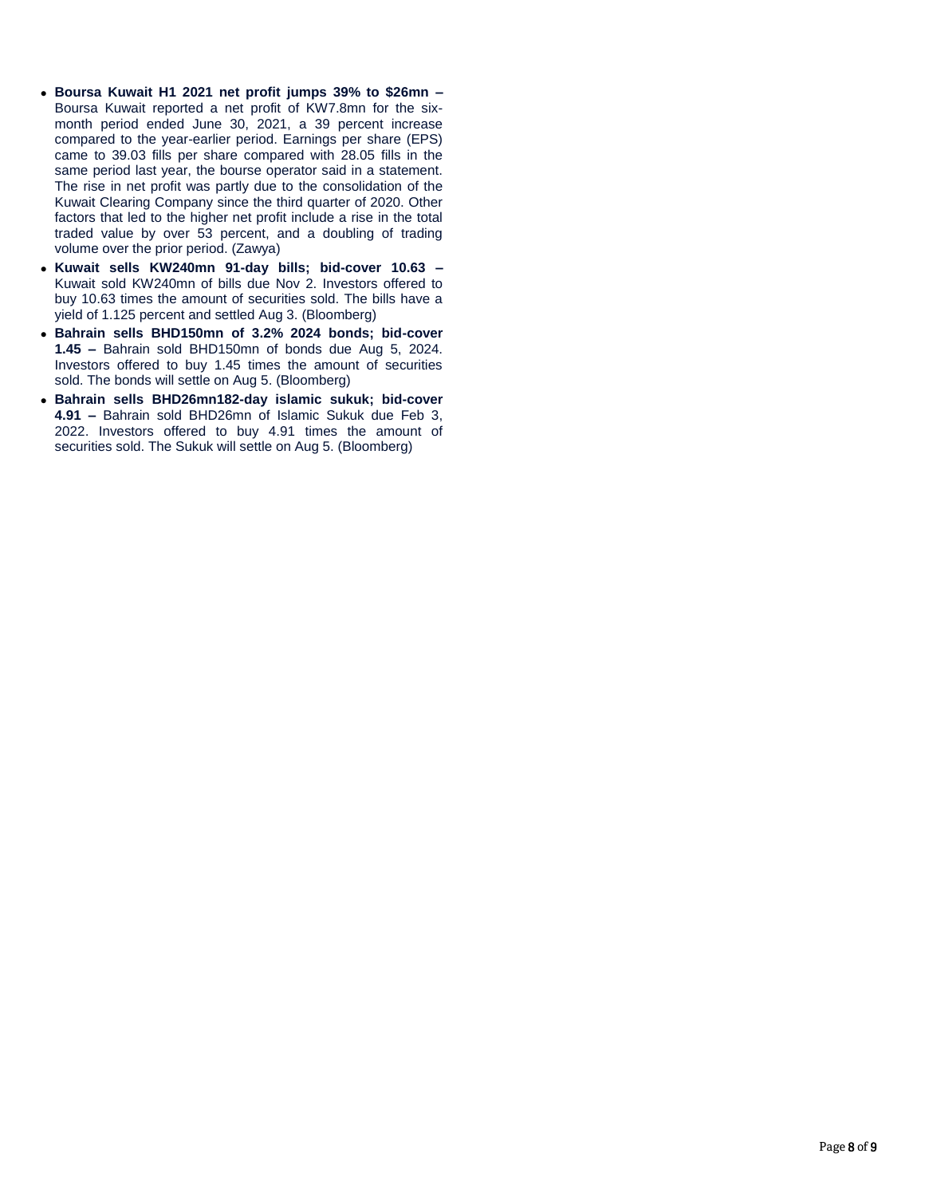- **Boursa Kuwait H1 2021 net profit jumps 39% to \$26mn –** Boursa Kuwait reported a net profit of KW7.8mn for the sixmonth period ended June 30, 2021, a 39 percent increase compared to the year-earlier period. Earnings per share (EPS) came to 39.03 fills per share compared with 28.05 fills in the same period last year, the bourse operator said in a statement. The rise in net profit was partly due to the consolidation of the Kuwait Clearing Company since the third quarter of 2020. Other factors that led to the higher net profit include a rise in the total traded value by over 53 percent, and a doubling of trading volume over the prior period. (Zawya)
- **Kuwait sells KW240mn 91-day bills; bid-cover 10.63 –** Kuwait sold KW240mn of bills due Nov 2. Investors offered to buy 10.63 times the amount of securities sold. The bills have a yield of 1.125 percent and settled Aug 3. (Bloomberg)
- **Bahrain sells BHD150mn of 3.2% 2024 bonds; bid-cover 1.45 –** Bahrain sold BHD150mn of bonds due Aug 5, 2024. Investors offered to buy 1.45 times the amount of securities sold. The bonds will settle on Aug 5. (Bloomberg)
- **Bahrain sells BHD26mn182-day islamic sukuk; bid-cover 4.91 –** Bahrain sold BHD26mn of Islamic Sukuk due Feb 3, 2022. Investors offered to buy 4.91 times the amount of securities sold. The Sukuk will settle on Aug 5. (Bloomberg)